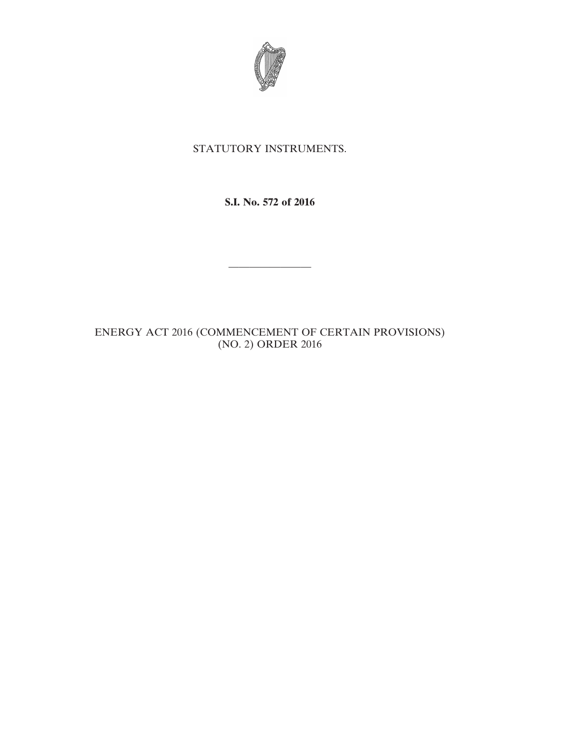

## STATUTORY INSTRUMENTS.

**S.I. No. 572 of 2016**

————————

ENERGY ACT 2016 (COMMENCEMENT OF CERTAIN PROVISIONS) (NO. 2) ORDER 2016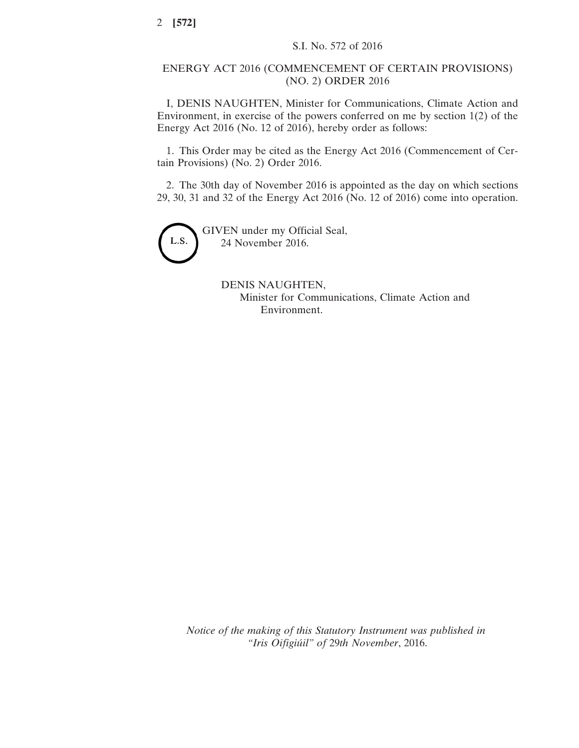## ENERGY ACT 2016 (COMMENCEMENT OF CERTAIN PROVISIONS) (NO. 2) ORDER 2016

I, DENIS NAUGHTEN, Minister for Communications, Climate Action and Environment, in exercise of the powers conferred on me by section 1(2) of the Energy Act 2016 (No. 12 of 2016), hereby order as follows:

1. This Order may be cited as the Energy Act 2016 (Commencement of Certain Provisions) (No. 2) Order 2016.

2. The 30th day of November 2016 is appointed as the day on which sections 29, 30, 31 and 32 of the Energy Act 2016 (No. 12 of 2016) come into operation.



GIVEN under my Official Seal, 24 November 2016.

> DENIS NAUGHTEN, Minister for Communications, Climate Action and Environment.

*Notice of the making of this Statutory Instrument was published in "Iris Oifigiúil" of* 29*th November*, 2016.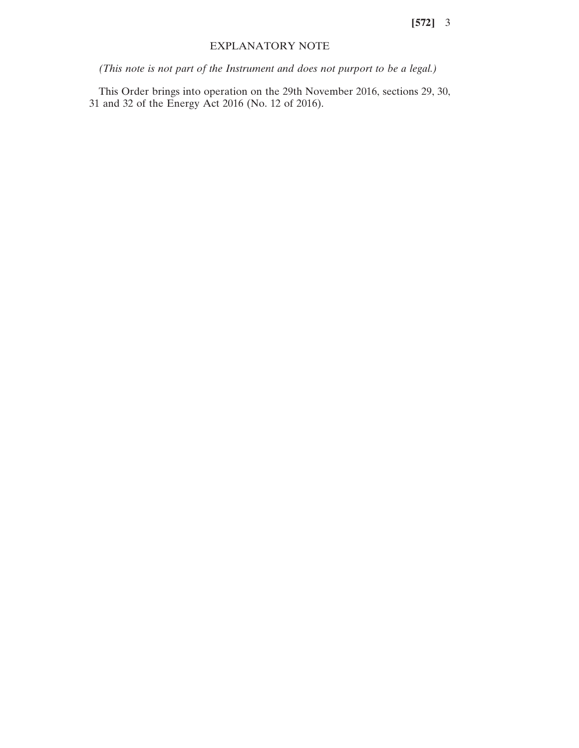**[572]** 3

## EXPLANATORY NOTE

*(This note is not part of the Instrument and does not purport to be a legal.)*

This Order brings into operation on the 29th November 2016, sections 29, 30, 31 and 32 of the Energy Act 2016 (No. 12 of 2016).